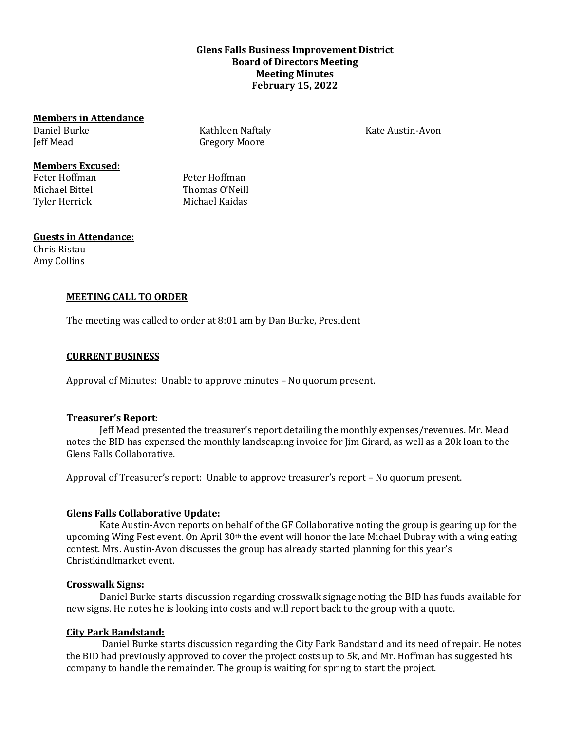# **Glens Falls Business Improvement District Board of Directors Meeting Meeting Minutes February 15, 2022**

#### **Members in Attendance**

Daniel Burke Jeff Mead

**Members Excused:**

Peter Hoffman Peter Hoffman Michael Bittel **Thomas O'Neill** Tyler Herrick Michael Kaidas

Kathleen Naftaly Gregory Moore

#### **Guests in Attendance:**

Chris Ristau Amy Collins

# **MEETING CALL TO ORDER**

The meeting was called to order at 8:01 am by Dan Burke, President

## **CURRENT BUSINESS**

Approval of Minutes: Unable to approve minutes – No quorum present.

## **Treasurer's Report**:

Jeff Mead presented the treasurer's report detailing the monthly expenses/revenues. Mr. Mead notes the BID has expensed the monthly landscaping invoice for Jim Girard, as well as a 20k loan to the Glens Falls Collaborative.

Approval of Treasurer's report: Unable to approve treasurer's report – No quorum present.

## **Glens Falls Collaborative Update:**

Kate Austin-Avon reports on behalf of the GF Collaborative noting the group is gearing up for the upcoming Wing Fest event. On April 30th the event will honor the late Michael Dubray with a wing eating contest. Mrs. Austin-Avon discusses the group has already started planning for this year's Christkindlmarket event.

## **Crosswalk Signs:**

Daniel Burke starts discussion regarding crosswalk signage noting the BID has funds available for new signs. He notes he is looking into costs and will report back to the group with a quote.

## **City Park Bandstand:**

Daniel Burke starts discussion regarding the City Park Bandstand and its need of repair. He notes the BID had previously approved to cover the project costs up to 5k, and Mr. Hoffman has suggested his company to handle the remainder. The group is waiting for spring to start the project.

Kate Austin-Avon